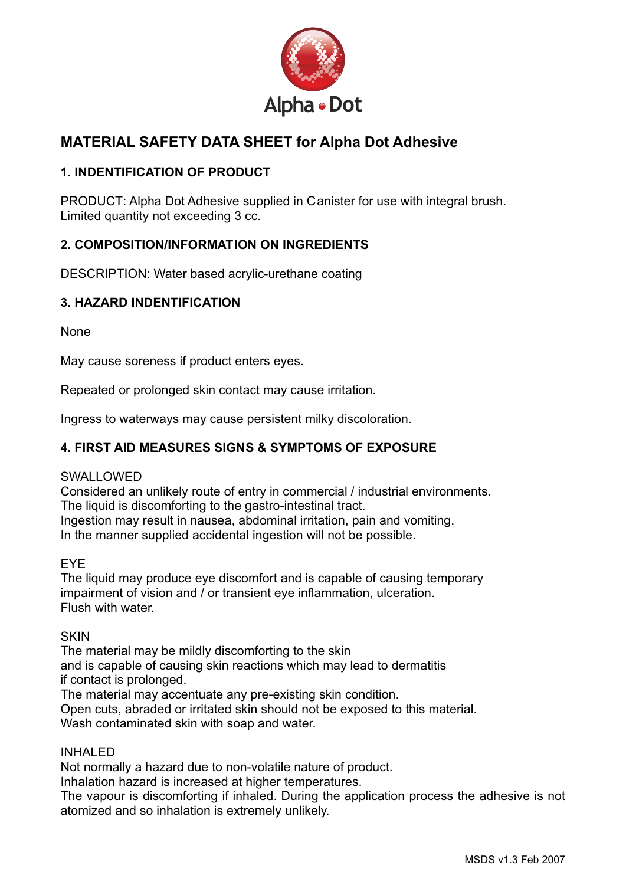

# **MA TERIAL SAFETY DATA SHEET for Alpha Dot Adhesive**

# **1. INDENTIFICATION OF PRODUCT**

PRODUCT: Alpha Dot Adhesive supplied in Canister for use with integral brush. Limited quantity not exceeding 3 cc.

# **2. COMPOSITION/INFORMATION ON INGREDIENTS**

DESCRIPTION: Water based acrylic-urethane coating

# **3. HAZARD INDENTIFICATION**

None

May cause soreness if product enters eyes.

Repeated or prolonged skin contact may cause irritation.

Ingress to waterways may cause persistent milky discoloration.

# **4. FIRST AID MEASURES SIGNS & SYMPTOMS OF EXPOSURE**

# SWALLOWED

Considered an unlikely route of entry in commercial / industrial environments. The liquid is discomforting to the gastro-intestinal tract. Ingestion may result in nausea, abdominal irritation, pain and vomiting.

In the manner supplied accidental ingestion will not be possible.

# EYE

The liquid may produce eye discomfort and is capable of causing temporary impairment of vision and / or transient eye inflammation, ulceration. Flush with water.

# **SKIN**

The material may be mildly discomforting to the skin and is capable of causing skin reactions which may lead to dermatitis if contact is prolonged.

The material may accentuate any pre-existing skin condition. Open cuts, abraded or irritated skin should not be exposed to this material. Wash contaminated skin with soap and water.

# INHALED

Not normally a hazard due to non-volatile nature of product.

Inhalation hazard is increased at higher temperatures.

The vapour is discomforting if inhaled. During the application process the adhesive is not atomized and so inhalation is extremely unlikely.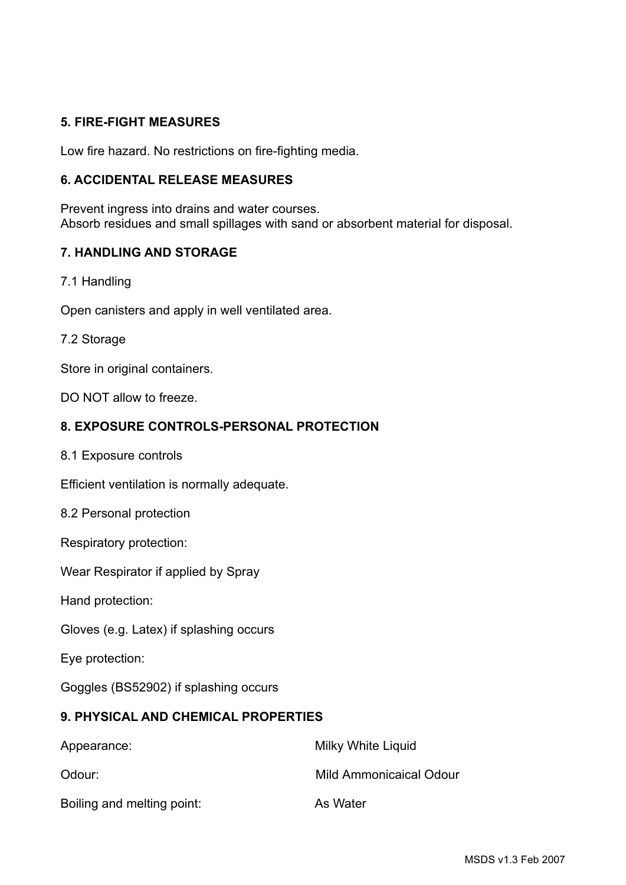# **5. FIRE-FIGHT MEASURES**

Low fire hazard. No restrictions on fire-fighting media.

# **6. ACCIDENTAL RELEASE MEASURES**

Prevent ingress into drains and water courses. Absorb residues and small spillages with sand or absorbent material for disposal.

# **7. HANDLING AND STORAGE**

7.1 Handling

Open canisters and apply in well ventilated area.

#### 7.2 Storage

Store in original containers.

DO NOT allow to freeze.

# **8. EXPOSURE CONTROLS-PERSONAL PROTECTION**

8.1 Exposure controls

Efficient ventilation is normally adequate.

8.2 Personal protection

Respiratory protection:

Wear Respirator if applied by Spray

Hand protection:

Gloves (e.g. Latex) if splashing occurs

Eye protection:

Goggles (BS52902) if splashing occurs

# **9. PHYSICAL AND CHEMICAL PROPERTIES**

| Appearance:                | Milky White Liquid      |  |
|----------------------------|-------------------------|--|
| Odour:                     | Mild Ammonicaical Odour |  |
| Boiling and melting point: | As Water                |  |